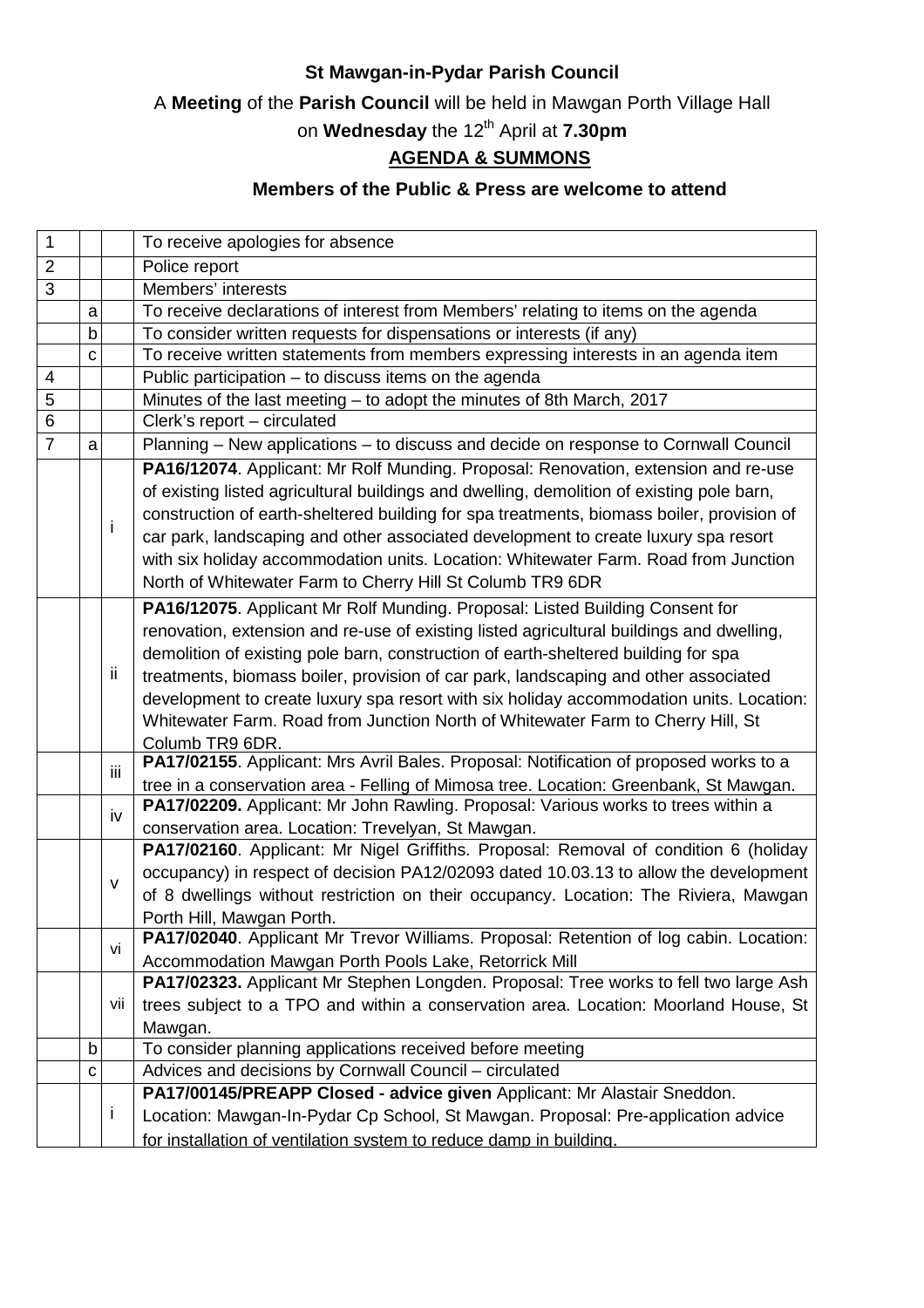#### **St Mawgan-in-Pydar Parish Council**

A **Meeting** of the **Parish Council** will be held in Mawgan Porth Village Hall

# on **Wednesday** the 12<sup>th</sup> April at 7.30pm

### **AGENDA & SUMMONS**

#### **Members of the Public & Press are welcome to attend**

| 1              |             |              | To receive apologies for absence                                                          |
|----------------|-------------|--------------|-------------------------------------------------------------------------------------------|
| $\overline{2}$ |             |              | Police report                                                                             |
| $\overline{3}$ |             |              | Members' interests                                                                        |
|                | a           |              | To receive declarations of interest from Members' relating to items on the agenda         |
|                | $\mathsf b$ |              | To consider written requests for dispensations or interests (if any)                      |
|                | C           |              | To receive written statements from members expressing interests in an agenda item         |
| 4              |             |              | Public participation - to discuss items on the agenda                                     |
| 5              |             |              | Minutes of the last meeting - to adopt the minutes of 8th March, 2017                     |
| $\overline{6}$ |             |              | Clerk's report - circulated                                                               |
| $\overline{7}$ | a           |              | Planning - New applications - to discuss and decide on response to Cornwall Council       |
|                |             |              | PA16/12074. Applicant: Mr Rolf Munding. Proposal: Renovation, extension and re-use        |
|                |             |              | of existing listed agricultural buildings and dwelling, demolition of existing pole barn, |
|                |             |              | construction of earth-sheltered building for spa treatments, biomass boiler, provision of |
|                |             | Ť            | car park, landscaping and other associated development to create luxury spa resort        |
|                |             |              | with six holiday accommodation units. Location: Whitewater Farm. Road from Junction       |
|                |             |              | North of Whitewater Farm to Cherry Hill St Columb TR9 6DR                                 |
|                |             |              | PA16/12075. Applicant Mr Rolf Munding. Proposal: Listed Building Consent for              |
|                |             |              | renovation, extension and re-use of existing listed agricultural buildings and dwelling,  |
|                |             |              | demolition of existing pole barn, construction of earth-sheltered building for spa        |
|                |             | -ii          | treatments, biomass boiler, provision of car park, landscaping and other associated       |
|                |             |              | development to create luxury spa resort with six holiday accommodation units. Location:   |
|                |             |              | Whitewater Farm. Road from Junction North of Whitewater Farm to Cherry Hill, St           |
|                |             |              | Columb TR9 6DR.                                                                           |
|                |             | ΪÏ           | PA17/02155. Applicant: Mrs Avril Bales. Proposal: Notification of proposed works to a     |
|                |             |              | tree in a conservation area - Felling of Mimosa tree. Location: Greenbank, St Mawgan.     |
|                |             | iv           | PA17/02209. Applicant: Mr John Rawling. Proposal: Various works to trees within a         |
|                |             |              | conservation area. Location: Trevelyan, St Mawgan.                                        |
|                |             | v            | PA17/02160. Applicant: Mr Nigel Griffiths. Proposal: Removal of condition 6 (holiday      |
|                |             |              | occupancy) in respect of decision PA12/02093 dated 10.03.13 to allow the development      |
|                |             |              | of 8 dwellings without restriction on their occupancy. Location: The Riviera, Mawgan      |
|                |             |              | Porth Hill, Mawgan Porth.                                                                 |
|                |             | vi           | PA17/02040. Applicant Mr Trevor Williams. Proposal: Retention of log cabin. Location:     |
|                |             |              | Accommodation Mawgan Porth Pools Lake, Retorrick Mill                                     |
|                |             |              | PA17/02323. Applicant Mr Stephen Longden. Proposal: Tree works to fell two large Ash      |
|                |             | VII          | trees subject to a TPO and within a conservation area. Location: Moorland House, St       |
|                |             |              | Mawgan.                                                                                   |
|                | b           |              | To consider planning applications received before meeting                                 |
|                | C           |              | Advices and decisions by Cornwall Council - circulated                                    |
|                |             |              | PA17/00145/PREAPP Closed - advice given Applicant: Mr Alastair Sneddon.                   |
|                |             | $\mathbf{I}$ | Location: Mawgan-In-Pydar Cp School, St Mawgan. Proposal: Pre-application advice          |
|                |             |              | for installation of ventilation system to reduce damp in building.                        |